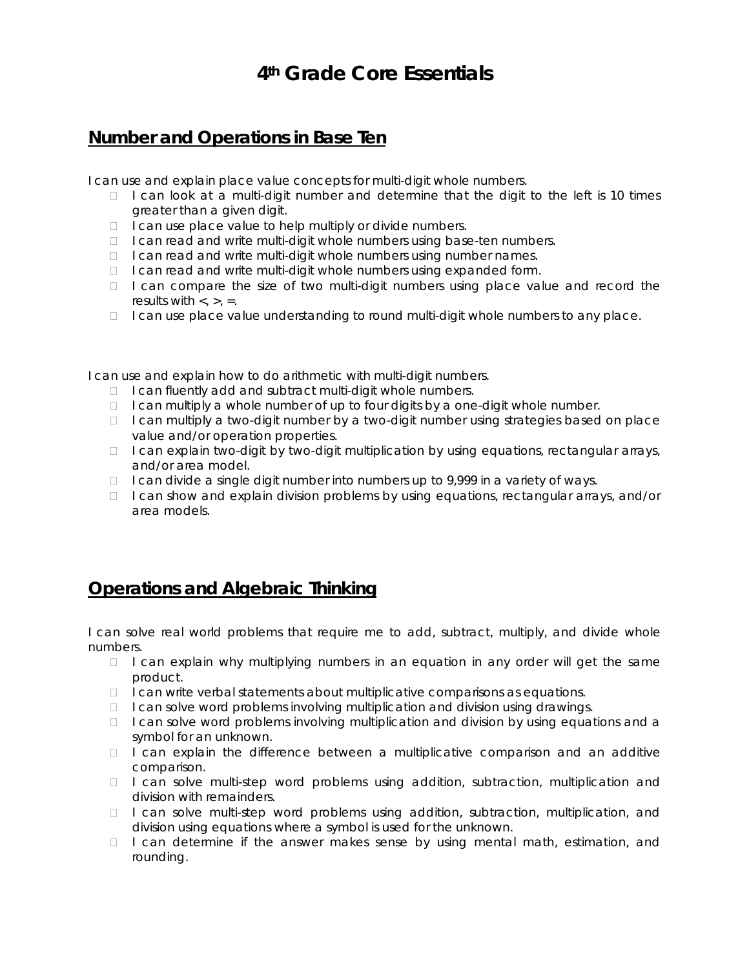# **4th Grade Core Essentials**

## **Number and Operations in Base Ten**

I can use and explain place value concepts for multi-digit whole numbers.

- $\Box$  I can look at a multi-digit number and determine that the digit to the left is 10 times greater than a given digit.
- $\Box$  I can use place value to help multiply or divide numbers.
- I can read and write multi-digit whole numbers using base-ten numbers.
- I can read and write multi-digit whole numbers using number names.
- $\Box$  I can read and write multi-digit whole numbers using expanded form.
- $\Box$  I can compare the size of two multi-digit numbers using place value and record the results with  $\lt$ ,  $\gt$ ,  $\approx$ .
- $\Box$  I can use place value understanding to round multi-digit whole numbers to any place.

I can use and explain how to do arithmetic with multi-digit numbers.

- $\Box$  I can fluently add and subtract multi-digit whole numbers.
- $\Box$  I can multiply a whole number of up to four digits by a one-digit whole number.
- $\Box$  I can multiply a two-digit number by a two-digit number using strategies based on place value and/or operation properties.
- □ I can explain two-digit by two-digit multiplication by using equations, rectangular arrays, and/or area model.
- $\Box$  I can divide a single digit number into numbers up to 9,999 in a variety of ways.
- □ I can show and explain division problems by using equations, rectangular arrays, and/or area models.

### **Operations and Algebraic Thinking**

I can solve real world problems that require me to add, subtract, multiply, and divide whole numbers.

- $\Box$  I can explain why multiplying numbers in an equation in any order will get the same product.
- $\Box$  I can write verbal statements about multiplicative comparisons as equations.
- $\Box$  I can solve word problems involving multiplication and division using drawings.
- $\Box$  I can solve word problems involving multiplication and division by using equations and a symbol for an unknown.
- $\Box$  I can explain the difference between a multiplicative comparison and an additive comparison.
- $\Box$  I can solve multi-step word problems using addition, subtraction, multiplication and division with remainders.
- □ I can solve multi-step word problems using addition, subtraction, multiplication, and division using equations where a symbol is used for the unknown.
- $\Box$  I can determine if the answer makes sense by using mental math, estimation, and rounding.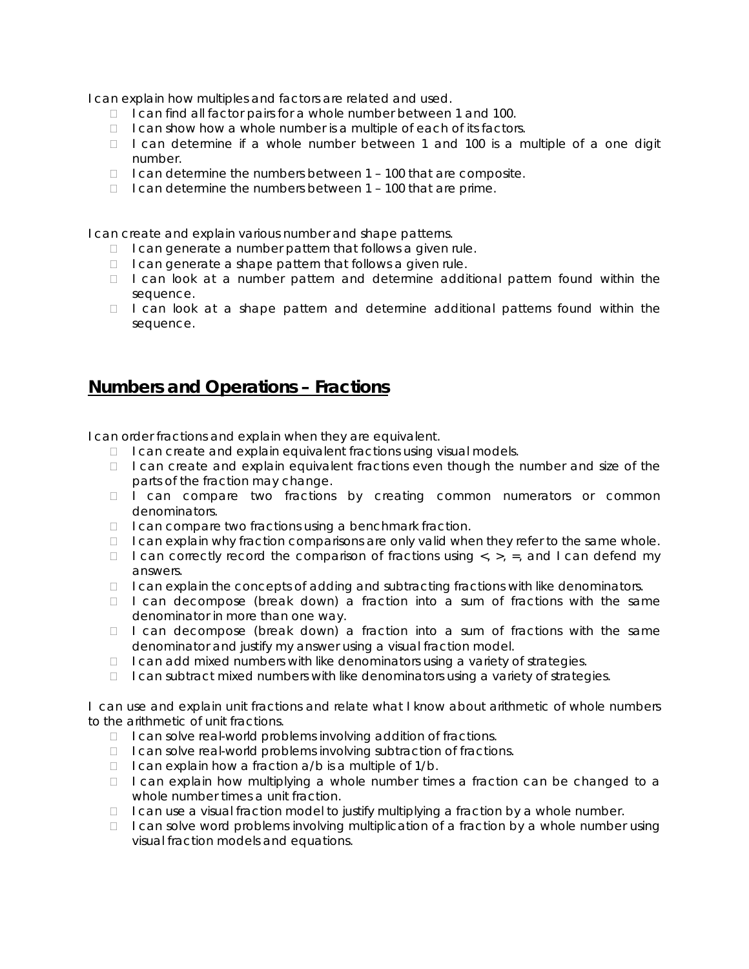I can explain how multiples and factors are related and used.

- I can find all factor pairs for a whole number between 1 and 100.
- $\Box$  I can show how a whole number is a multiple of each of its factors.
- $\Box$  I can determine if a whole number between 1 and 100 is a multiple of a one digit number.
- $\Box$  I can determine the numbers between 1 100 that are composite.
- $\Box$  I can determine the numbers between 1 100 that are prime.

I can create and explain various number and shape patterns.

- $\Box$  I can generate a number pattern that follows a given rule.
- $\Box$  I can generate a shape pattern that follows a given rule.
- $\Box$  I can look at a number pattern and determine additional pattern found within the sequence.
- $\Box$  I can look at a shape pattern and determine additional patterns found within the sequence.

#### **Numbers and Operations – Fractions**

I can order fractions and explain when they are equivalent.

- $\Box$  I can create and explain equivalent fractions using visual models.
- $\Box$  I can create and explain equivalent fractions even though the number and size of the parts of the fraction may change.
- □ I can compare two fractions by creating common numerators or common denominators.
- $\Box$  I can compare two fractions using a benchmark fraction.
- $\Box$  I can explain why fraction comparisons are only valid when they refer to the same whole.
- I can correctly record the comparison of fractions using  $\langle x, y \rangle = 0$ , and I can defend my answers.
- $\Box$  I can explain the concepts of adding and subtracting fractions with like denominators.
- $\Box$  I can decompose (break down) a fraction into a sum of fractions with the same denominator in more than one way.
- $\Box$  I can decompose (break down) a fraction into a sum of fractions with the same denominator and justify my answer using a visual fraction model.
- $\Box$  I can add mixed numbers with like denominators using a variety of strategies.
- $\Box$  I can subtract mixed numbers with like denominators using a variety of strategies.

I can use and explain unit fractions and relate what I know about arithmetic of whole numbers to the arithmetic of unit fractions.

- $\Box$  I can solve real-world problems involving addition of fractions.
- $\Box$  I can solve real-world problems involving subtraction of fractions.
- $\Box$  I can explain how a fraction  $a/b$  is a multiple of  $1/b$ .
- □ I can explain how multiplying a whole number times a fraction can be changed to a whole number times a unit fraction.
- $\Box$  I can use a visual fraction model to justify multiplying a fraction by a whole number.
- $\Box$  I can solve word problems involving multiplication of a fraction by a whole number using visual fraction models and equations.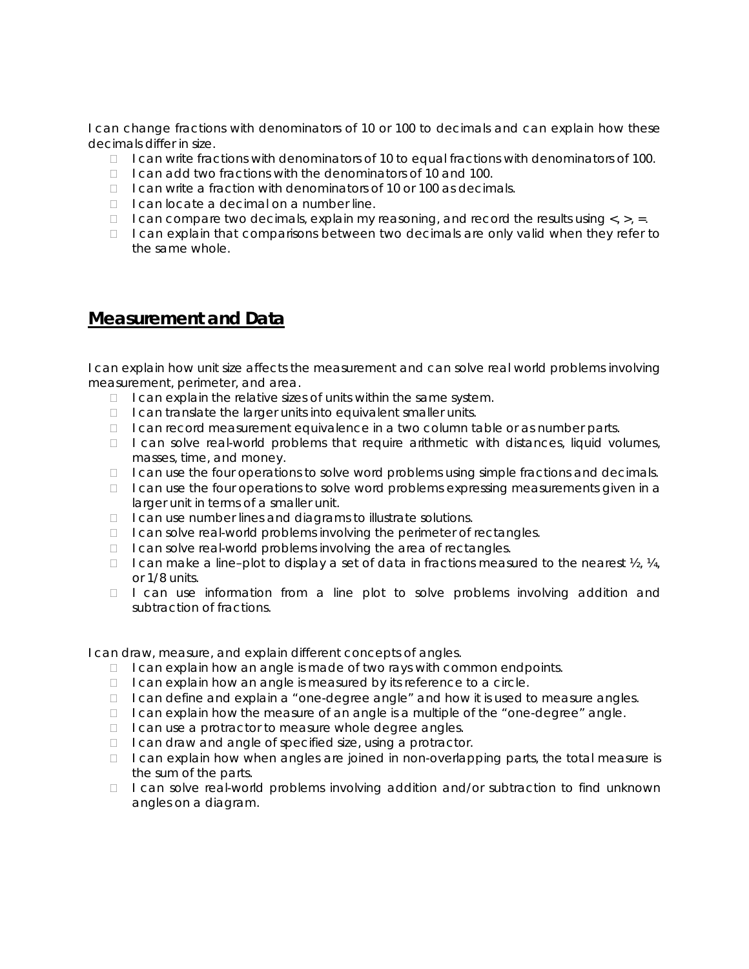I can change fractions with denominators of 10 or 100 to decimals and can explain how these decimals differ in size.

- I can write fractions with denominators of 10 to equal fractions with denominators of 100.
- $\Box$  I can add two fractions with the denominators of 10 and 100.
- $\Box$  I can write a fraction with denominators of 10 or 100 as decimals.
- $\Box$  I can locate a decimal on a number line.
- $\Box$  I can compare two decimals, explain my reasoning, and record the results using  $\langle , \rangle$ , =.
- $\Box$  I can explain that comparisons between two decimals are only valid when they refer to the same whole.

#### **Measurement and Data**

I can explain how unit size affects the measurement and can solve real world problems involving measurement, perimeter, and area.

- $\Box$  I can explain the relative sizes of units within the same system.
- $\Box$  I can translate the larger units into equivalent smaller units.
- $\Box$  I can record measurement equivalence in a two column table or as number parts.
- $\Box$  I can solve real-world problems that require arithmetic with distances, liquid volumes, masses, time, and money.
- $\Box$  I can use the four operations to solve word problems using simple fractions and decimals.
- $\Box$  I can use the four operations to solve word problems expressing measurements given in a larger unit in terms of a smaller unit.
- $\Box$  I can use number lines and diagrams to illustrate solutions.
- $\Box$  I can solve real-world problems involving the perimeter of rectangles.
- $\Box$  I can solve real-world problems involving the area of rectangles.
- I can make a line–plot to display a set of data in fractions measured to the nearest  $\mathcal{V}_2$ ,  $\mathcal{V}_4$ , or 1/8 units.
- $\Box$  I can use information from a line plot to solve problems involving addition and subtraction of fractions.

I can draw, measure, and explain different concepts of angles.

- $\Box$  I can explain how an angle is made of two rays with common endpoints.
- $\Box$  I can explain how an angle is measured by its reference to a circle.
- $\Box$  I can define and explain a "one-degree angle" and how it is used to measure angles.
- $\Box$  I can explain how the measure of an angle is a multiple of the "one-degree" angle.
- $\Box$  I can use a protractor to measure whole degree angles.
- $\Box$  I can draw and angle of specified size, using a protractor.
- $\Box$  I can explain how when angles are joined in non-overlapping parts, the total measure is the sum of the parts.
- □ I can solve real-world problems involving addition and/or subtraction to find unknown angles on a diagram.